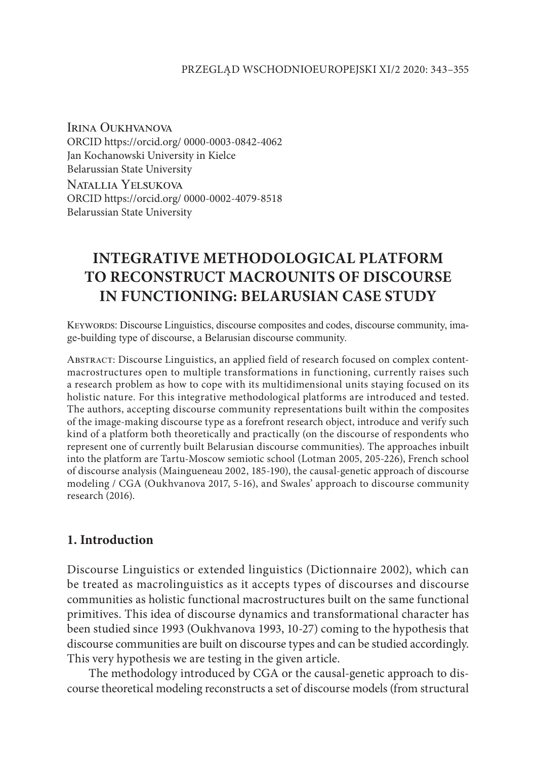Irina Oukhvanova ORCID https://orcid.org/ 0000-0003-0842-4062 Jan Kochanowski University in Kielce Belarussian State University Natallia Yelsukova ORCID https://orcid.org/ 0000-0002-4079-8518 Belarussian State University

# **INTEGRATIVE METHODOLOGICAL PLATFORM TO RECONSTRUCT MACROUNITS OF DISCOURSE IN FUNCTIONING: BELARUSIAN CASE STUDY**

Keywords: Discourse Linguistics, discourse composites and codes, discourse community, image-building type of discourse, a Belarusian discourse community.

Abstract: Discourse Linguistics, an applied field of research focused on complex contentmacrostructures open to multiple transformations in functioning, currently raises such a research problem as how to cope with its multidimensional units staying focused on its holistic nature. For this integrative methodological platforms are introduced and tested. The authors, accepting discourse community representations built within the composites of the image-making discourse type as a forefront research object, introduce and verify such kind of a platform both theoretically and practically (on the discourse of respondents who represent one of currently built Belarusian discourse communities). The approaches inbuilt into the platform are Tartu-Moscow semiotic school (Lotman 2005, 205-226), French school of discourse analysis (Maingueneau 2002, 185-190), the causal-genetic approach of discourse modeling / CGA (Oukhvanova 2017, 5-16), and Swales' approach to discourse community research (2016).

## **1. Introduction**

Discourse Linguistics or extended linguistics (Dictionnaire 2002), which can be treated as macrolinguistics as it accepts types of discourses and discourse communities as holistic functional macrostructures built on the same functional primitives. This idea of discourse dynamics and transformational character has been studied since 1993 (Oukhvanova 1993, 10-27) coming to the hypothesis that discourse communities are built on discourse types and can be studied accordingly. This very hypothesis we are testing in the given article.

The methodology introduced by CGA or the causal-genetic approach to discourse theoretical modeling reconstructs a set of discourse models (from structural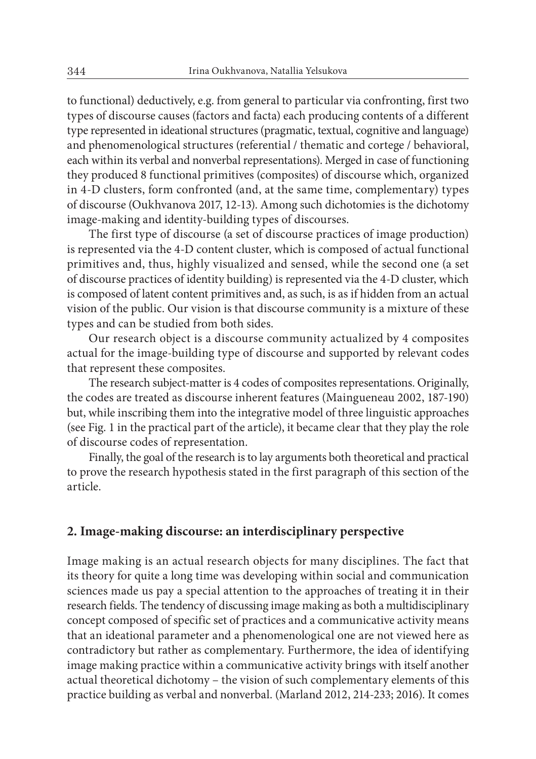to functional) deductively, e.g. from general to particular via confronting, first two types of discourse causes (factors and facta) each producing contents of a different type represented in ideational structures (pragmatic, textual, cognitive and language) and phenomenological structures (referential / thematic and cortege / behavioral, each within its verbal and nonverbal representations). Merged in case of functioning they produced 8 functional primitives (composites) of discourse which, organized in 4-D clusters, form confronted (and, at the same time, complementary) types of discourse (Oukhvanova 2017, 12-13). Among such dichotomies is the dichotomy image-making and identity-building types of discourses.

The first type of discourse (a set of discourse practices of image production) is represented via the 4-D content cluster, which is composed of actual functional primitives and, thus, highly visualized and sensed, while the second one (a set of discourse practices of identity building) is represented via the 4-D cluster, which is composed of latent content primitives and, as such, is as if hidden from an actual vision of the public. Our vision is that discourse community is a mixture of these types and can be studied from both sides.

Our research object is a discourse community actualized by 4 composites actual for the image-building type of discourse and supported by relevant codes that represent these composites.

The research subject-matter is 4 codes of composites representations. Originally, the codes are treated as discourse inherent features (Maingueneau 2002, 187-190) but, while inscribing them into the integrative model of three linguistic approaches (see Fig. 1 in the practical part of the article), it became clear that they play the role of discourse codes of representation.

Finally, the goal of the research is to lay arguments both theoretical and practical to prove the research hypothesis stated in the first paragraph of this section of the article.

#### **2. Image-making discourse: an interdisciplinary perspective**

Image making is an actual research objects for many disciplines. The fact that its theory for quite a long time was developing within social and communication sciences made us pay a special attention to the approaches of treating it in their research fields. The tendency of discussing image making as both a multidisciplinary concept composed of specific set of practices and a communicative activity means that an ideational parameter and a phenomenological one are not viewed here as contradictory but rather as complementary. Furthermore, the idea of identifying image making practice within a communicative activity brings with itself another actual theoretical dichotomy – the vision of such complementary elements of this practice building as verbal and nonverbal. (Marland 2012, 214-233; 2016). It comes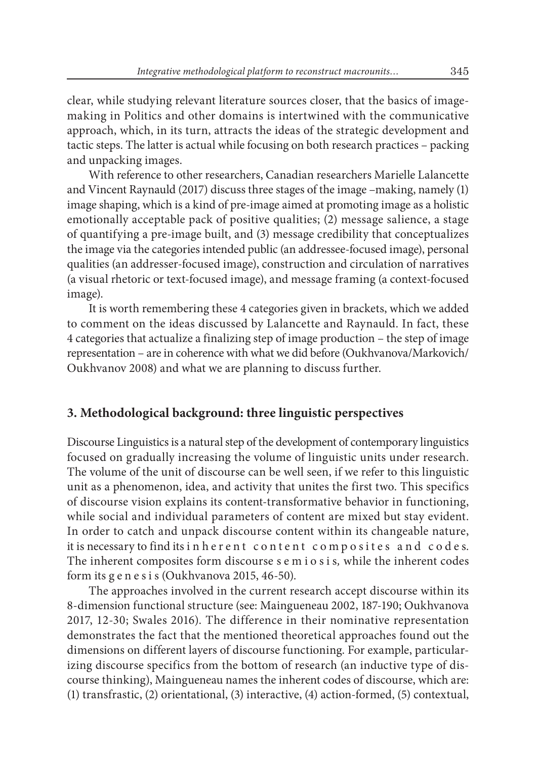clear, while studying relevant literature sources closer, that the basics of imagemaking in Politics and other domains is intertwined with the communicative approach, which, in its turn, attracts the ideas of the strategic development and tactic steps. The latter is actual while focusing on both research practices – packing and unpacking images.

With reference to other researchers, Canadian researchers Marielle Lalancette and Vincent Raynauld (2017) discuss three stages of the image –making, namely (1) image shaping, which is a kind of pre-image aimed at promoting image as a holistic emotionally acceptable pack of positive qualities; (2) message salience, a stage of quantifying a pre-image built, and (3) message credibility that conceptualizes the image via the categories intended public (an addressee-focused image), personal qualities (an addresser-focused image), construction and circulation of narratives (a visual rhetoric or text-focused image), and message framing (a context-focused image).

It is worth remembering these 4 categories given in brackets, which we added to comment on the ideas discussed by Lalancette and Raynauld. In fact, these 4 categories that actualize a finalizing step of image production – the step of image representation – are in coherence with what we did before (Oukhvanova/Markovich/ Oukhvanov 2008) and what we are planning to discuss further.

### **3. Methodological background: three linguistic perspectives**

Discourse Linguistics is a natural step of the development of contemporary linguistics focused on gradually increasing the volume of linguistic units under research. The volume of the unit of discourse can be well seen, if we refer to this linguistic unit as a phenomenon, idea, and activity that unites the first two. This specifics of discourse vision explains its content-transformative behavior in functioning, while social and individual parameters of content are mixed but stay evident. In order to catch and unpack discourse content within its changeable nature, it is necessary to find its in herent content composites and codes. The inherent composites form discourse s e m i o s i s*,* while the inherent codes form its g e n e s i s (Oukhvanova 2015, 46-50).

The approaches involved in the current research accept discourse within its 8-dimension functional structure (see: Maingueneau 2002, 187-190; Oukhvanova 2017, 12-30; Swales 2016). The difference in their nominative representation demonstrates the fact that the mentioned theoretical approaches found out the dimensions on different layers of discourse functioning. For example, particularizing discourse specifics from the bottom of research (an inductive type of discourse thinking), Maingueneau names the inherent codes of discourse, which are: (1) transfrastic, (2) orientational, (3) interactive, (4) action-formed, (5) contextual,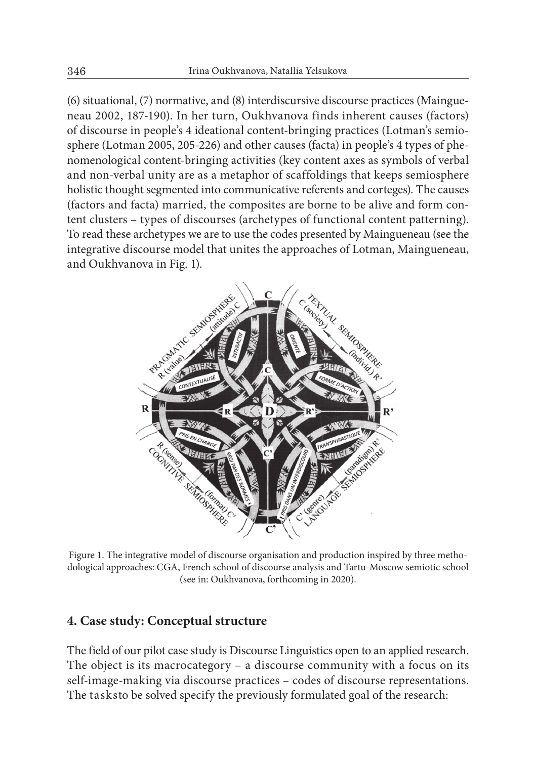(6) situational, (7) normative, and (8) interdiscursive discourse practices (Maingueneau 2002, 187-190). In her turn, Oukhvanova finds inherent causes (factors) of discourse in people's 4 ideational content-bringing practices (Lotman's semiosphere (Lotman 2005, 205-226) and other causes (facta) in people's 4 types of phenomenological content-bringing activities (key content axes as symbols of verbal and non-verbal unity are as a metaphor of scaffoldings that keeps semiosphere holistic thought segmented into communicative referents and corteges). The causes (factors and facta) married, the composites are borne to be alive and form content clusters – types of discourses (archetypes of functional content patterning). To read these archetypes we are to use the codes presented by Maingueneau (see the integrative discourse model that unites the approaches of Lotman, Maingueneau, and Oukhvanova in Fig. 1).



Figure 1. The integrative model of discourse organisation and production inspired by three methodological approaches: CGA, French school of discourse analysis and Tartu-Moscow semiotic school (see in: Oukhvanova, forthcoming in 2020).

### **4. Case study: Conceptual structure**

The field of our pilot case study is Discourse Linguistics open to an applied research. The object is its macrocategory – a discourse community with a focus on its self-image-making via discourse practices – codes of discourse representations. The tasksto be solved specify the previously formulated goal of the research: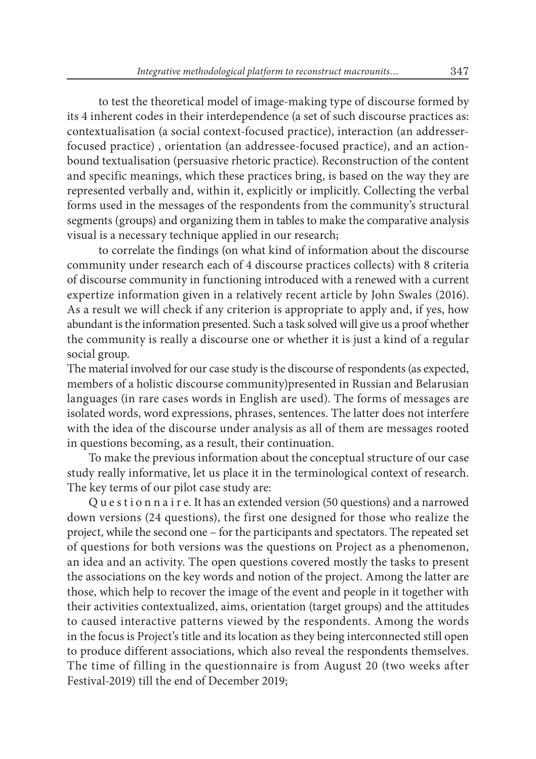• to test the theoretical model of image-making type of discourse formed by its 4 inherent codes in their interdependence (a set of such discourse practices as: contextualisation (a social context-focused practice), interaction (an addresserfocused practice) , orientation (an addressee-focused practice), and an actionbound textualisation (persuasive rhetoric practice). Reconstruction of the content and specific meanings, which these practices bring, is based on the way they are represented verbally and, within it, explicitly or implicitly. Collecting the verbal forms used in the messages of the respondents from the community's structural segments (groups) and organizing them in tables to make the comparative analysis visual is a necessary technique applied in our research;

• to correlate the findings (on what kind of information about the discourse community under research each of 4 discourse practices collects) with 8 criteria of discourse community in functioning introduced with a renewed with a current expertize information given in a relatively recent article by John Swales (2016). As a result we will check if any criterion is appropriate to apply and, if yes, how abundant is the information presented. Such a task solved will give us a proof whether the community is really a discourse one or whether it is just a kind of a regular social group.

The material involved for our case study is the discourse of respondents (as expected, members of a holistic discourse community)presented in Russian and Belarusian languages (in rare cases words in English are used). The forms of messages are isolated words, word expressions, phrases, sentences. The latter does not interfere with the idea of the discourse under analysis as all of them are messages rooted in questions becoming, as a result, their continuation.

To make the previous information about the conceptual structure of our case study really informative, let us place it in the terminological context of research. The key terms of our pilot case study are:

Q u e s t i o n n a i r e. It has an extended version (50 questions) and a narrowed down versions (24 questions), the first one designed for those who realize the project, while the second one – for the participants and spectators. The repeated set of questions for both versions was the questions on Project as a phenomenon, an idea and an activity. The open questions covered mostly the tasks to present the associations on the key words and notion of the project. Among the latter are those, which help to recover the image of the event and people in it together with their activities contextualized, aims, orientation (target groups) and the attitudes to caused interactive patterns viewed by the respondents. Among the words in the focus is Project's title and its location as they being interconnected still open to produce different associations, which also reveal the respondents themselves. The time of filling in the questionnaire is from August 20 (two weeks after Festival-2019) till the end of December 2019;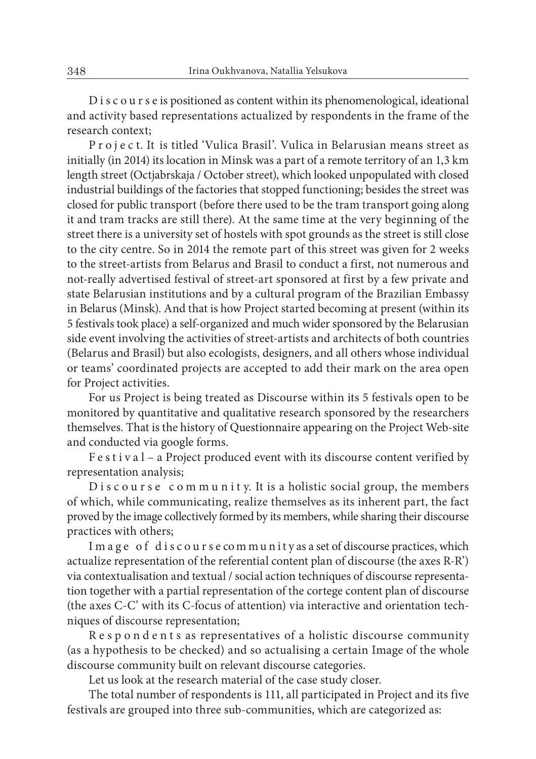D i s c o u r s e is positioned as content within its phenomenological, ideational and activity based representations actualized by respondents in the frame of the research context;

P r o j e c t. It is titled 'Vulica Brasil'. Vulica in Belarusian means street as initially (in 2014) its location in Minsk was a part of a remote territory of an 1,3 km length street (Octjabrskaja / October street), which looked unpopulated with closed industrial buildings of the factories that stopped functioning; besides the street was closed for public transport (before there used to be the tram transport going along it and tram tracks are still there). At the same time at the very beginning of the street there is a university set of hostels with spot grounds as the street is still close to the city centre. So in 2014 the remote part of this street was given for 2 weeks to the street-artists from Belarus and Brasil to conduct a first, not numerous and not-really advertised festival of street-art sponsored at first by a few private and state Belarusian institutions and by a cultural program of the Brazilian Embassy in Belarus (Minsk). And that is how Project started becoming at present (within its 5 festivals took place) a self-organized and much wider sponsored by the Belarusian side event involving the activities of street-artists and architects of both countries (Belarus and Brasil) but also ecologists, designers, and all others whose individual or teams' coordinated projects are accepted to add their mark on the area open for Project activities.

For us Project is being treated as Discourse within its 5 festivals open to be monitored by quantitative and qualitative research sponsored by the researchers themselves. That is the history of Questionnaire appearing on the Project Web-site and conducted via google forms.

F e s t i v a l – a Project produced event with its discourse content verified by representation analysis;

 $D$  is course community. It is a holistic social group, the members of which, while communicating, realize themselves as its inherent part, the fact proved by the image collectively formed by its members, while sharing their discourse practices with others;

I m a g e of d is course community as a set of discourse practices, which actualize representation of the referential content plan of discourse (the axes R-R') via contextualisation and textual / social action techniques of discourse representation together with a partial representation of the cortege content plan of discourse (the axes C-C' with its C-focus of attention) via interactive and orientation techniques of discourse representation;

R e s p o n d e n t s as representatives of a holistic discourse community (as a hypothesis to be checked) and so actualising a certain Image of the whole discourse community built on relevant discourse categories.

Let us look at the research material of the case study closer.

The total number of respondents is 111, all participated in Project and its five festivals are grouped into three sub-communities, which are categorized as: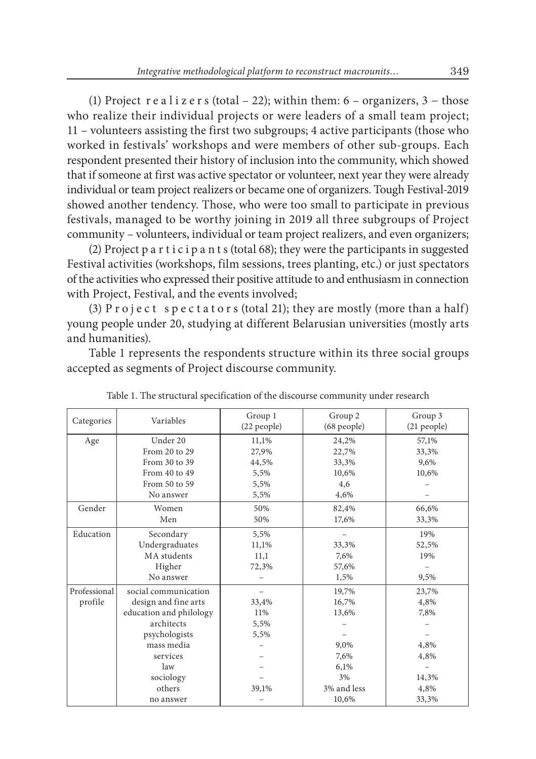(1) Project r e a l i z e r s (total – 22); within them:  $6 -$  organizers,  $3 -$  those who realize their individual projects or were leaders of a small team project; 11 – volunteers assisting the first two subgroups; 4 active participants (those who worked in festivals' workshops and were members of other sub-groups. Each respondent presented their history of inclusion into the community, which showed that if someone at first was active spectator or volunteer, next year they were already individual or team project realizers or became one of organizers. Tough Festival-2019 showed another tendency. Those, who were too small to participate in previous festivals, managed to be worthy joining in 2019 all three subgroups of Project community – volunteers, individual or team project realizers, and even organizers;

(2) Project p a r t i c i p a n t s (total 68); they were the participants in suggested Festival activities (workshops, film sessions, trees planting, etc.) or just spectators of the activities who expressed their positive attitude to and enthusiasm in connection with Project, Festival, and the events involved;

(3) P r o j e c t s p e c t a t o r s (total 21); they are mostly (more than a half) young people under 20, studying at different Belarusian universities (mostly arts and humanities).

Table 1 represents the respondents structure within its three social groups accepted as segments of Project discourse community.

| Categories   | Variables               | Group 1<br>(22 people) | Group 2<br>(68 people) | Group 3<br>(21 people) |
|--------------|-------------------------|------------------------|------------------------|------------------------|
| Age          | Under 20                | 11.1%                  | 24,2%                  | 57,1%                  |
|              | From 20 to 29           | 27,9%                  | 22,7%                  | 33,3%                  |
|              | From 30 to 39           | 44,5%                  | 33,3%                  | 9,6%                   |
|              | From 40 to 49           | 5,5%                   | 10,6%                  | 10,6%                  |
|              | From 50 to 59           | 5,5%                   | 4,6                    |                        |
|              | No answer               | 5,5%                   | 4,6%                   |                        |
| Gender       | Women                   | 50%                    | 82,4%                  | 66,6%                  |
|              | Men                     | 50%                    | 17,6%                  | 33,3%                  |
| Education    | Secondary               | 5,5%                   |                        | 19%                    |
|              | Undergraduates          | 11,1%                  | 33,3%                  | 52,5%                  |
|              | MA students             | 11,1                   | 7,6%                   | 19%                    |
|              | Higher                  | 72,3%                  | 57,6%                  |                        |
|              | No answer               |                        | 1,5%                   | 9,5%                   |
| Professional | social communication    |                        | 19,7%                  | 23,7%                  |
| profile      | design and fine arts    | 33,4%                  | 16,7%                  | 4,8%                   |
|              | education and philology | 11%                    | 13,6%                  | 7,8%                   |
|              | architects              | 5,5%                   |                        |                        |
|              | psychologists           | 5,5%                   |                        |                        |
|              | mass media              |                        | 9,0%                   | 4,8%                   |
|              | services                |                        | 7,6%                   | 4,8%                   |
|              | law                     |                        | 6,1%                   |                        |
|              | sociology               |                        | 3%                     | 14,3%                  |
|              | others                  | 39,1%                  | 3% and less            | 4,8%                   |
|              | no answer               |                        | 10,6%                  | 33,3%                  |

Table 1. The structural specification of the discourse community under research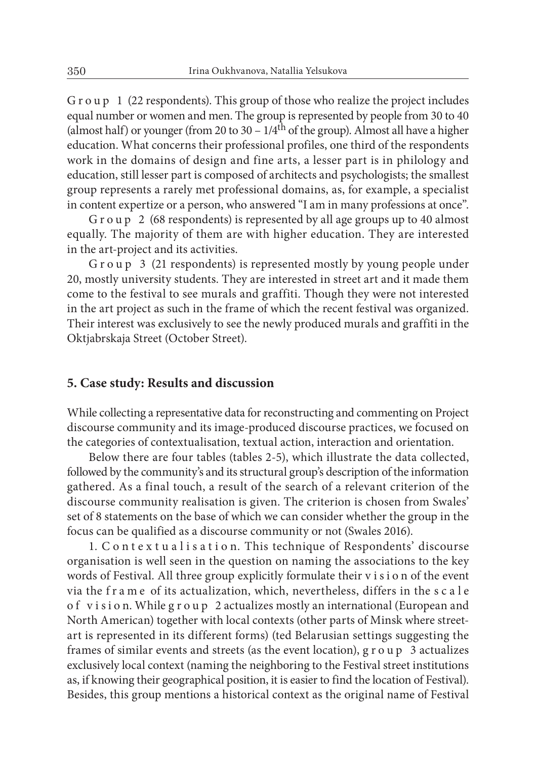G r o u p 1 (22 respondents). This group of those who realize the project includes equal number or women and men. The group is represented by people from 30 to 40 (almost half) or younger (from 20 to 30 –  $1/4<sup>th</sup>$  of the group). Almost all have a higher education. What concerns their professional profiles, one third of the respondents work in the domains of design and fine arts, a lesser part is in philology and education, still lesser part is composed of architects and psychologists; the smallest group represents a rarely met professional domains, as, for example, a specialist in content expertize or a person, who answered "I am in many professions at once".

G r o u p 2 (68 respondents) is represented by all age groups up to 40 almost equally. The majority of them are with higher education. They are interested in the art-project and its activities.

G r o u p 3 (21 respondents) is represented mostly by young people under 20, mostly university students. They are interested in street art and it made them come to the festival to see murals and graffiti. Though they were not interested in the art project as such in the frame of which the recent festival was organized. Their interest was exclusively to see the newly produced murals and graffiti in the Oktjabrskaja Street (October Street).

#### **5. Case study: Results and discussion**

While collecting a representative data for reconstructing and commenting on Project discourse community and its image-produced discourse practices, we focused on the categories of contextualisation, textual action, interaction and orientation.

Below there are four tables (tables 2-5), which illustrate the data collected, followed by the community's and its structural group's description of the information gathered. As a final touch, a result of the search of a relevant criterion of the discourse community realisation is given. The criterion is chosen from Swales' set of 8 statements on the base of which we can consider whether the group in the focus can be qualified as a discourse community or not (Swales 2016).

1. C o n t e x t u a l i s a t i o n. This technique of Respondents' discourse organisation is well seen in the question on naming the associations to the key words of Festival. All three group explicitly formulate their v i s i o n of the event via the f r a m e of its actualization, which, nevertheless, differs in the s c a l e o f v i s i o n. While g r o u p 2 actualizes mostly an international (European and North American) together with local contexts (other parts of Minsk where streetart is represented in its different forms) (ted Belarusian settings suggesting the frames of similar events and streets (as the event location), g r o u p 3 actualizes exclusively local context (naming the neighboring to the Festival street institutions as, if knowing their geographical position, it is easier to find the location of Festival). Besides, this group mentions a historical context as the original name of Festival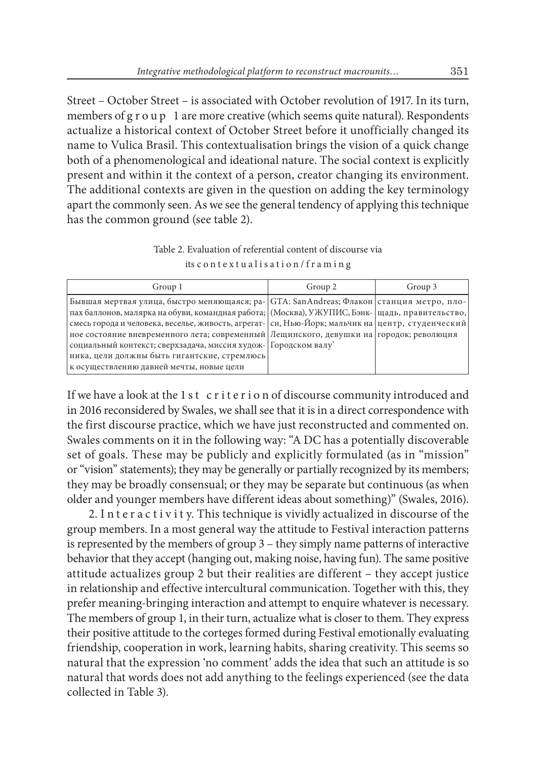Street – October Street – is associated with October revolution of 1917. In its turn, members of g r o u p 1 are more creative (which seems quite natural). Respondents actualize a historical context of October Street before it unofficially changed its name to Vulica Brasil. This contextualisation brings the vision of a quick change both of a phenomenological and ideational nature. The social context is explicitly present and within it the context of a person, creator changing its environment. The additional contexts are given in the question on adding the key terminology apart the commonly seen. As we see the general tendency of applying this technique has the common ground (see table 2).

Table 2. Evaluation of referential content of discourse via its c o n t e x t u a l i s a t i o n / f r a m i n g

| Group 1                                                                                                                                                                                                                                                                                                                                                                                                                                                                                                                                                      | Group 2 | Group 3 |
|--------------------------------------------------------------------------------------------------------------------------------------------------------------------------------------------------------------------------------------------------------------------------------------------------------------------------------------------------------------------------------------------------------------------------------------------------------------------------------------------------------------------------------------------------------------|---------|---------|
| Бывшая мертвая улица, быстро меняющаяся; ра- GTA: SanAndreas; Флакон станция метро, пло-<br>пах баллонов, малярка на обуви, командная работа; (Москва), УЖУПИС, Бэнк- щадь, правительство,<br>смесь города и человека, веселье, живость, агрегат-   си, Нью-Йорк; мальчик на   центр, студенческий<br>ное состояние вневременного лета; современный Лещинского, девушки на городок; революция<br>социальный контекст; сверхзадача, миссия худож- Городском валу'<br>ника, цели должны быть гигантские, стремлюсь<br>к осуществлению давней мечты, новые цели |         |         |

If we have a look at the 1st criterion of discourse community introduced and in 2016 reconsidered by Swales, we shall see that it is in a direct correspondence with the first discourse practice, which we have just reconstructed and commented on. Swales comments on it in the following way: "A DC has a potentially discoverable set of goals. These may be publicly and explicitly formulated (as in "mission" or "vision" statements); they may be generally or partially recognized by its members; they may be broadly consensual; or they may be separate but continuous (as when older and younger members have different ideas about something)" (Swales, 2016).

2. In teractivity. This technique is vividly actualized in discourse of the group members. In a most general way the attitude to Festival interaction patterns is represented by the members of group 3 – they simply name patterns of interactive behavior that they accept (hanging out, making noise, having fun). The same positive attitude actualizes group 2 but their realities are different – they accept justice in relationship and effective intercultural communication. Together with this, they prefer meaning-bringing interaction and attempt to enquire whatever is necessary. The members of group 1, in their turn, actualize what is closer to them. They express their positive attitude to the corteges formed during Festival emotionally evaluating friendship, cooperation in work, learning habits, sharing creativity. This seems so natural that the expression 'no comment' adds the idea that such an attitude is so natural that words does not add anything to the feelings experienced (see the data collected in Table 3).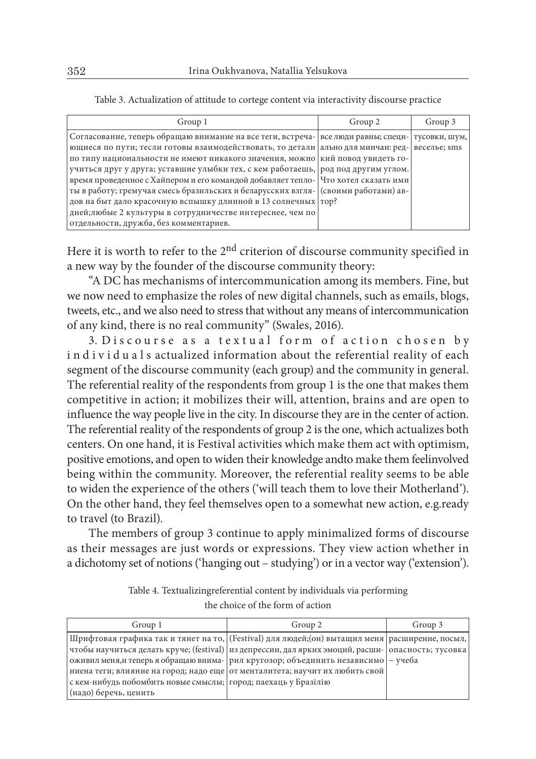| Group 1                                                                                            | Group 2 | Group 3      |
|----------------------------------------------------------------------------------------------------|---------|--------------|
| Согласование, теперь обращаю внимание на все теги, встреча- все люди равны; специ-   тусовки, шум, |         |              |
| ющиеся по пути; тесли готовы взаимодействовать, то детали ально для минчан: ред-                   |         | веселье; sms |
| по типу национальности не имеют никакого значения, можно кий повод увидеть го-                     |         |              |
| учиться друг у друга; уставшие улыбки тех, с кем работаешь, род под другим углом.                  |         |              |
| время проведенное с Хайпером и его командой добавляет тепло-   Что хотел сказать ими               |         |              |
| ты в работу; гремучая смесь бразильских и беларусских взгля- (своими работами) ав-                 |         |              |
| дов на быт дало красочную вспышку длинной в 13 солнечных   тор?                                    |         |              |
| дней; любые 2 культуры в сотрудничестве интереснее, чем по                                         |         |              |
| отдельности, дружба, без комментариев.                                                             |         |              |

Table 3. Actualization of attitude to cortege content via interactivity discourse practice

Here it is worth to refer to the 2<sup>nd</sup> criterion of discourse community specified in a new way by the founder of the discourse community theory:

"A DC has mechanisms of intercommunication among its members. Fine, but we now need to emphasize the roles of new digital channels, such as emails, blogs, tweets, etc., and we also need to stress that without any means of intercommunication of any kind, there is no real community" (Swales, 2016).

3. Discourse as a textual form of action chosen by individuals actualized information about the referential reality of each segment of the discourse community (each group) and the community in general. The referential reality of the respondents from group 1 is the one that makes them competitive in action; it mobilizes their will, attention, brains and are open to influence the way people live in the city. In discourse they are in the center of action. The referential reality of the respondents of group 2 is the one, which actualizes both centers. On one hand, it is Festival activities which make them act with optimism, positive emotions, and open to widen their knowledge andto make them feelinvolved being within the community. Moreover, the referential reality seems to be able to widen the experience of the others ('will teach them to love their Motherland'). On the other hand, they feel themselves open to a somewhat new action, e.g.ready to travel (to Brazil).

The members of group 3 continue to apply minimalized forms of discourse as their messages are just words or expressions. They view action whether in a dichotomy set of notions ('hanging out – studying') or in a vector way ('extension').

| Table 4. Textualizingreferential content by individuals via performing |  |  |
|------------------------------------------------------------------------|--|--|
|------------------------------------------------------------------------|--|--|

the choice of the form of action

| Group 1                                                          | Group 2                                                                                            | Group 3 |
|------------------------------------------------------------------|----------------------------------------------------------------------------------------------------|---------|
|                                                                  | Шрифтовая графика так и тянет на то, [(Festival) для людей; (он) вытащил меня   расширение, посыл, |         |
|                                                                  | чтобы научиться делать круче; (festival) из депрессии, дал ярких эмоций, расши- опасность; тусовка |         |
|                                                                  | оживил меня, и теперь я обращаю внима- рил кругозор; объединить независимо $-$ учеба               |         |
|                                                                  | ниена теги; влияние на город; надо еще   от менталитета; научит их любить свой                     |         |
| с кем-нибудь побомбить новые смыслы;   город; паехаць у Бразілію |                                                                                                    |         |
| (надо) беречь, ценить                                            |                                                                                                    |         |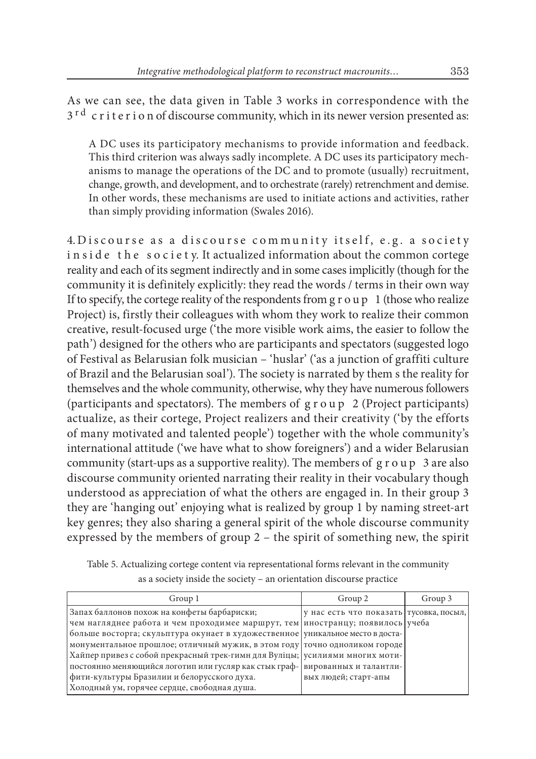As we can see, the data given in Table 3 works in correspondence with the 3<sup>rd</sup> criterion of discourse community, which in its newer version presented as:

A DC uses its participatory mechanisms to provide information and feedback. This third criterion was always sadly incomplete. A DC uses its participatory mechanisms to manage the operations of the DC and to promote (usually) recruitment, change, growth, and development, and to orchestrate (rarely) retrenchment and demise. In other words, these mechanisms are used to initiate actions and activities, rather than simply providing information (Swales 2016).

4. Discourse as a discourse community itself, e.g. a society in side the society. It actualized information about the common cortege reality and each of its segment indirectly and in some cases implicitly (though for the community it is definitely explicitly: they read the words / terms in their own way If to specify, the cortege reality of the respondents from  $g r o u p 1$  (those who realize Project) is, firstly their colleagues with whom they work to realize their common creative, result-focused urge ('the more visible work aims, the easier to follow the path') designed for the others who are participants and spectators (suggested logo of Festival as Belarusian folk musician – 'huslar' ('as a junction of graffiti culture of Brazil and the Belarusian soal'). The society is narrated by them s the reality for themselves and the whole community, otherwise, why they have numerous followers (participants and spectators). The members of g r o u p 2 (Project participants) actualize, as their cortege, Project realizers and their creativity ('by the efforts of many motivated and talented people') together with the whole community's international attitude ('we have what to show foreigners') and a wider Belarusian community (start-ups as a supportive reality). The members of  $g r o u p 3$  are also discourse community oriented narrating their reality in their vocabulary though understood as appreciation of what the others are engaged in. In their group 3 they are 'hanging out' enjoying what is realized by group 1 by naming street-art key genres; they also sharing a general spirit of the whole discourse community expressed by the members of group 2 – the spirit of something new, the spirit

Table 5. Actualizing cortege content via representational forms relevant in the community as a society inside the society – an orientation discourse practice

| Group 1                                                                         | Group 2                                    | Group 3 |
|---------------------------------------------------------------------------------|--------------------------------------------|---------|
| Запах баллонов похож на конфеты барбариски;                                     | ју нас есть что показать   тусовка, посыл, |         |
| чем нагляднее работа и чем проходимее маршрут, тем иностранцу; появилось учеба  |                                            |         |
| больше восторга; скульптура окунает в художественное уникальное место в доста-  |                                            |         |
| монументальное прошлое; отличный мужик, в этом году   точно одноликом городе    |                                            |         |
| Хайпер привез с собой прекрасный трек-гимн для Вуліцы; усилиями многих моти-    |                                            |         |
| постоянно меняющийся логотип или гусляр как стык граф-   вированных и талантли- |                                            |         |
| фити-культуры Бразилии и белорусского духа.                                     | вых людей; старт-апы                       |         |
| Холодный ум, горячее сердце, свободная душа.                                    |                                            |         |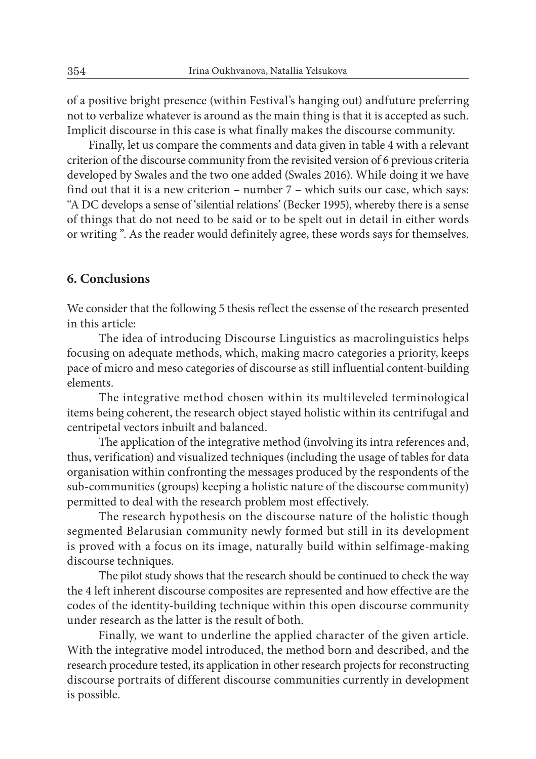of a positive bright presence (within Festival's hanging out) andfuture preferring not to verbalize whatever is around as the main thing is that it is accepted as such. Implicit discourse in this case is what finally makes the discourse community.

Finally, let us compare the comments and data given in table 4 with a relevant criterion of the discourse community from the revisited version of 6 previous criteria developed by Swales and the two one added (Swales 2016). While doing it we have find out that it is a new criterion – number 7 – which suits our case, which says: "A DC develops a sense of 'silential relations' (Becker 1995), whereby there is a sense of things that do not need to be said or to be spelt out in detail in either words or writing ". As the reader would definitely agree, these words says for themselves.

#### **6. Conclusions**

We consider that the following 5 thesis reflect the essense of the research presented in this article:

• The idea of introducing Discourse Linguistics as macrolinguistics helps focusing on adequate methods, which, making macro categories a priority, keeps pace of micro and meso categories of discourse as still influential content-building elements.

• The integrative method chosen within its multileveled terminological items being coherent, the research object stayed holistic within its centrifugal and centripetal vectors inbuilt and balanced.

• The application of the integrative method (involving its intra references and, thus, verification) and visualized techniques (including the usage of tables for data organisation within confronting the messages produced by the respondents of the sub-communities (groups) keeping a holistic nature of the discourse community) permitted to deal with the research problem most effectively.

• The research hypothesis on the discourse nature of the holistic though segmented Belarusian community newly formed but still in its development is proved with a focus on its image, naturally build within selfimage-making discourse techniques.

• The pilot study shows that the research should be continued to check the way the 4 left inherent discourse composites are represented and how effective are the codes of the identity-building technique within this open discourse community under research as the latter is the result of both.

• Finally, we want to underline the applied character of the given article. With the integrative model introduced, the method born and described, and the research procedure tested, its application in other research projects for reconstructing discourse portraits of different discourse communities currently in development is possible.